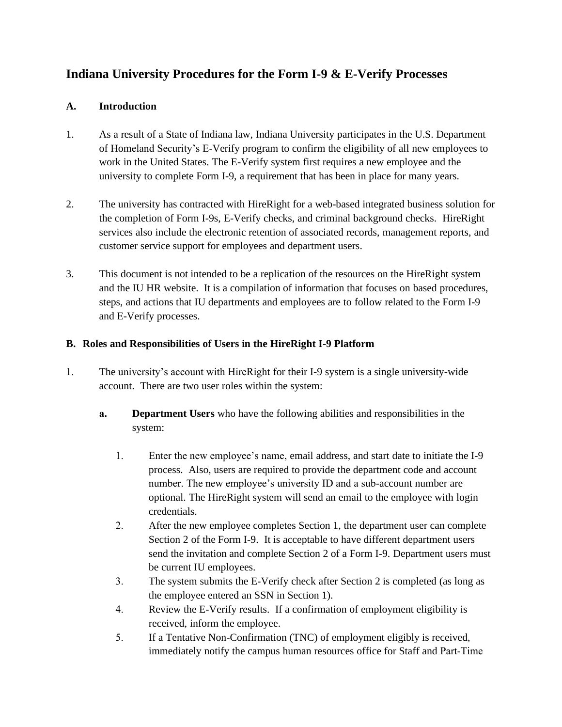# **Indiana University Procedures for the Form I-9 & E-Verify Processes**

### **A. Introduction**

- 1. As a result of a State of Indiana law, Indiana University participates in the U.S. Department of Homeland Security's E-Verify program to confirm the eligibility of all new employees to work in the United States. The E-Verify system first requires a new employee and the university to complete Form I-9, a requirement that has been in place for many years.
- 2. The university has contracted with HireRight for a web-based integrated business solution for the completion of Form I-9s, E-Verify checks, and criminal background checks. HireRight services also include the electronic retention of associated records, management reports, and customer service support for employees and department users.
- 3. This document is not intended to be a replication of the resources on the HireRight system and the IU HR website. It is a compilation of information that focuses on based procedures, steps, and actions that IU departments and employees are to follow related to the Form I-9 and E-Verify processes.

#### **B. Roles and Responsibilities of Users in the HireRight I-9 Platform**

- 1. The university's account with HireRight for their I-9 system is a single university-wide account. There are two user roles within the system:
	- **a. Department Users** who have the following abilities and responsibilities in the system:
		- 1. Enter the new employee's name, email address, and start date to initiate the I-9 process. Also, users are required to provide the department code and account number. The new employee's university ID and a sub-account number are optional. The HireRight system will send an email to the employee with login credentials.
		- 2. After the new employee completes Section 1, the department user can complete Section 2 of the Form I-9. It is acceptable to have different department users send the invitation and complete Section 2 of a Form I-9. Department users must be current IU employees.
		- 3. The system submits the E-Verify check after Section 2 is completed (as long as the employee entered an SSN in Section 1).
		- 4. Review the E-Verify results. If a confirmation of employment eligibility is received, inform the employee.
		- 5. If a Tentative Non-Confirmation (TNC) of employment eligibly is received, immediately notify the campus human resources office for Staff and Part-Time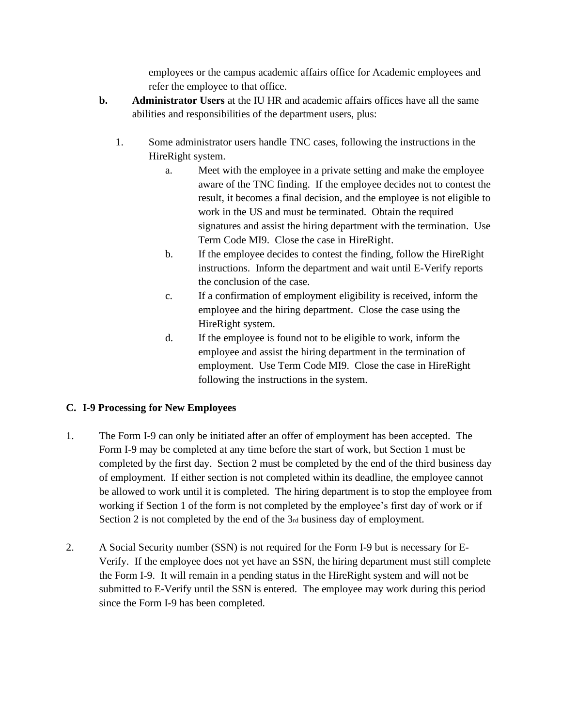employees or the campus academic affairs office for Academic employees and refer the employee to that office.

- **b. Administrator Users** at the IU HR and academic affairs offices have all the same abilities and responsibilities of the department users, plus:
	- 1. Some administrator users handle TNC cases, following the instructions in the HireRight system.
		- a. Meet with the employee in a private setting and make the employee aware of the TNC finding. If the employee decides not to contest the result, it becomes a final decision, and the employee is not eligible to work in the US and must be terminated. Obtain the required signatures and assist the hiring department with the termination. Use Term Code MI9. Close the case in HireRight.
		- b. If the employee decides to contest the finding, follow the HireRight instructions. Inform the department and wait until E-Verify reports the conclusion of the case.
		- c. If a confirmation of employment eligibility is received, inform the employee and the hiring department. Close the case using the HireRight system.
		- d. If the employee is found not to be eligible to work, inform the employee and assist the hiring department in the termination of employment. Use Term Code MI9. Close the case in HireRight following the instructions in the system.

#### **C. I-9 Processing for New Employees**

- 1. The Form I-9 can only be initiated after an offer of employment has been accepted. The Form I-9 may be completed at any time before the start of work, but Section 1 must be completed by the first day. Section 2 must be completed by the end of the third business day of employment. If either section is not completed within its deadline, the employee cannot be allowed to work until it is completed. The hiring department is to stop the employee from working if Section 1 of the form is not completed by the employee's first day of work or if Section 2 is not completed by the end of the 3rd business day of employment.
- 2. A Social Security number (SSN) is not required for the Form I-9 but is necessary for E-Verify. If the employee does not yet have an SSN, the hiring department must still complete the Form I-9. It will remain in a pending status in the HireRight system and will not be submitted to E-Verify until the SSN is entered. The employee may work during this period since the Form I-9 has been completed.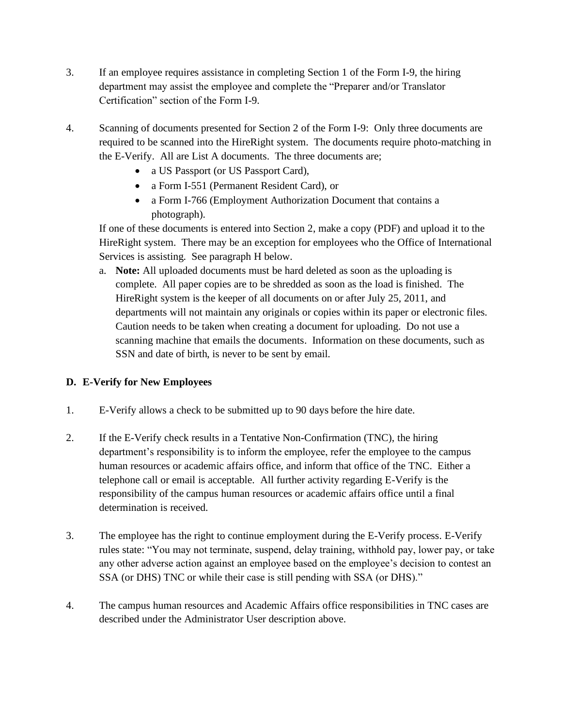- 3. If an employee requires assistance in completing Section 1 of the Form I-9, the hiring department may assist the employee and complete the "Preparer and/or Translator Certification" section of the Form I-9.
- 4. Scanning of documents presented for Section 2 of the Form I-9: Only three documents are required to be scanned into the HireRight system. The documents require photo-matching in the E-Verify. All are List A documents. The three documents are;
	- a US Passport (or US Passport Card),
	- a Form I-551 (Permanent Resident Card), or
	- a Form I-766 (Employment Authorization Document that contains a photograph).

If one of these documents is entered into Section 2, make a copy (PDF) and upload it to the HireRight system. There may be an exception for employees who the Office of International Services is assisting. See paragraph H below.

a. **Note:** All uploaded documents must be hard deleted as soon as the uploading is complete. All paper copies are to be shredded as soon as the load is finished. The HireRight system is the keeper of all documents on or after July 25, 2011, and departments will not maintain any originals or copies within its paper or electronic files. Caution needs to be taken when creating a document for uploading. Do not use a scanning machine that emails the documents. Information on these documents, such as SSN and date of birth, is never to be sent by email.

#### **D. E-Verify for New Employees**

- 1. E-Verify allows a check to be submitted up to 90 days before the hire date.
- 2. If the E-Verify check results in a Tentative Non-Confirmation (TNC), the hiring department's responsibility is to inform the employee, refer the employee to the campus human resources or academic affairs office, and inform that office of the TNC. Either a telephone call or email is acceptable. All further activity regarding E-Verify is the responsibility of the campus human resources or academic affairs office until a final determination is received.
- 3. The employee has the right to continue employment during the E-Verify process. E-Verify rules state: "You may not terminate, suspend, delay training, withhold pay, lower pay, or take any other adverse action against an employee based on the employee's decision to contest an SSA (or DHS) TNC or while their case is still pending with SSA (or DHS)."
- 4. The campus human resources and Academic Affairs office responsibilities in TNC cases are described under the Administrator User description above.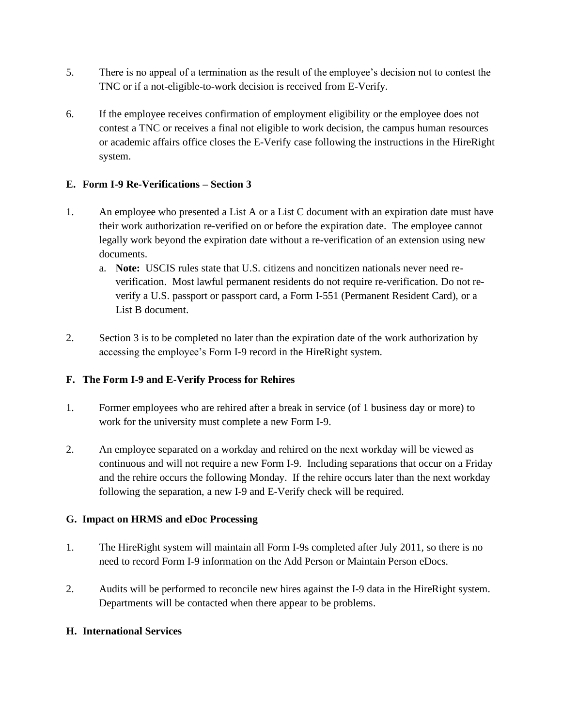- 5. There is no appeal of a termination as the result of the employee's decision not to contest the TNC or if a not-eligible-to-work decision is received from E-Verify.
- 6. If the employee receives confirmation of employment eligibility or the employee does not contest a TNC or receives a final not eligible to work decision, the campus human resources or academic affairs office closes the E-Verify case following the instructions in the HireRight system.

#### **E. Form I-9 Re-Verifications – Section 3**

- 1. An employee who presented a List A or a List C document with an expiration date must have their work authorization re-verified on or before the expiration date. The employee cannot legally work beyond the expiration date without a re-verification of an extension using new documents.
	- a. **Note:** USCIS rules state that U.S. citizens and noncitizen nationals never need reverification. Most lawful permanent residents do not require re-verification. Do not reverify a U.S. passport or passport card, a Form I-551 (Permanent Resident Card), or a List B document.
- 2. Section 3 is to be completed no later than the expiration date of the work authorization by accessing the employee's Form I-9 record in the HireRight system.

## **F. The Form I-9 and E-Verify Process for Rehires**

- 1. Former employees who are rehired after a break in service (of 1 business day or more) to work for the university must complete a new Form I-9.
- 2. An employee separated on a workday and rehired on the next workday will be viewed as continuous and will not require a new Form I-9. Including separations that occur on a Friday and the rehire occurs the following Monday. If the rehire occurs later than the next workday following the separation, a new I-9 and E-Verify check will be required.

#### **G. Impact on HRMS and eDoc Processing**

- 1. The HireRight system will maintain all Form I-9s completed after July 2011, so there is no need to record Form I-9 information on the Add Person or Maintain Person eDocs.
- 2. Audits will be performed to reconcile new hires against the I-9 data in the HireRight system. Departments will be contacted when there appear to be problems.

#### **H. International Services**